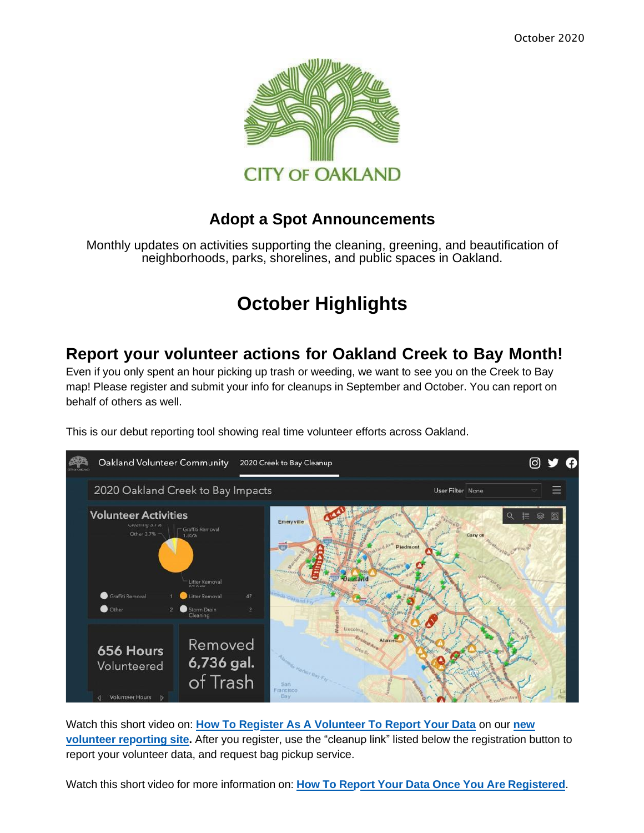

#### **Adopt a Spot Announcements**

Monthly updates on activities supporting the cleaning, greening, and beautification of neighborhoods, parks, shorelines, and public spaces in Oakland.

# **October Highlights**

#### **Report your [volunteer](https://oaklandca19202.lt.acemlna.com/Prod/link-tracker?notrack=1&redirectUrl=aHR0cCUzQSUyRiUyRnd3dy5vYWtsYW5kY3JlZWt0b2JheS5vcmclMkY%3D&sig=5KqbwpXKT5FMT7rsvMG96CofAYNbP1H38Wpfw1RaP2X1&iat=1632343875&a=799335011&account=oaklandca19202%2Eactivehosted%2Ecom&email=LRRV6glqIfcVPcYsJBrMHi%2FZD%2BmsUFpJrc5fHf6IoVE%3D&s=bad97c655476f96a390a72c05a742011&i=482A467A2A5814) actions for Oakland Creek to Bay Month!**

Even if you only spent an hour picking up trash or weeding, we want to see you on the Creek to Bay map! Please register and submit your info for cleanups in September and October. You can report on behalf of others as well.



This is our debut reporting tool showing real time volunteer efforts across Oakland.

Watch this short video on: **[How To Register As A Volunteer To Report Your Data](https://oaklandca19202.lt.acemlna.com/Prod/link-tracker?notrack=1&redirectUrl=aHR0cHMlM0ElMkYlMkZvYWtsYW5kLXZvbHVudGVlci1jb21tdW5pdHktb2FrZ2lzLmh1Yi5hcmNnaXMuY29tJTJGcGFnZXMlMkZvYWtsYW5kLWNyZWVrLXRvLWJheS1jbGVhbnVw&sig=DL4Bza75zemSqCtM3foPoNqYYY11seZmX2xnVUenxnws&iat=1632343875&a=799335011&account=oaklandca19202%2Eactivehosted%2Ecom&email=LRRV6glqIfcVPcYsJBrMHi%2FZD%2BmsUFpJrc5fHf6IoVE%3D&s=bad97c655476f96a390a72c05a742011&i=482A467A2A5815)** on our **new volunteer reporting site.** After you register, use the "cleanup link" listed below the [registration](https://oaklandca19202.lt.acemlna.com/Prod/link-tracker?notrack=1&redirectUrl=aHR0cHMlM0ElMkYlMkZvYWtsYW5kLXZvbHVudGVlci1jb21tdW5pdHktb2FrZ2lzLmh1Yi5hcmNnaXMuY29tJTJGcGFnZXMlMkZvYWtsYW5kLWNyZWVrLXRvLWJheS1jbGVhbnVw&sig=DL4Bza75zemSqCtM3foPoNqYYY11seZmX2xnVUenxnws&iat=1632343875&a=799335011&account=oaklandca19202%2Eactivehosted%2Ecom&email=LRRV6glqIfcVPcYsJBrMHi%2FZD%2BmsUFpJrc5fHf6IoVE%3D&s=bad97c655476f96a390a72c05a742011&i=482A467A2A5815) button to report your volunteer data, and request bag pickup service.

Watch this short video for more information on: **How To Report Your Data Once You Are [Registered](https://oaklandca19202.lt.acemlna.com/Prod/link-tracker?notrack=1&redirectUrl=aHR0cHMlM0ElMkYlMkZkcml2ZS5nb29nbGUuY29tJTJGZmlsZSUyRmQlMkYxUXhZVkd3aUIwVWZGbTNBcGpRVHN6c1N6NW5lOUxzaUMlMkZ2aWV3JTNGdXNwJTNEc2hhcmluZw%3D%3D&sig=Hvu9ZqrTGwMJYnN1GhwEfeWp9hPfwdVXwYSiUnNW8TJC&iat=1632343875&a=799335011&account=oaklandca19202%2Eactivehosted%2Ecom&email=LRRV6glqIfcVPcYsJBrMHi%2FZD%2BmsUFpJrc5fHf6IoVE%3D&s=bad97c655476f96a390a72c05a742011&i=482A467A2A5827)**.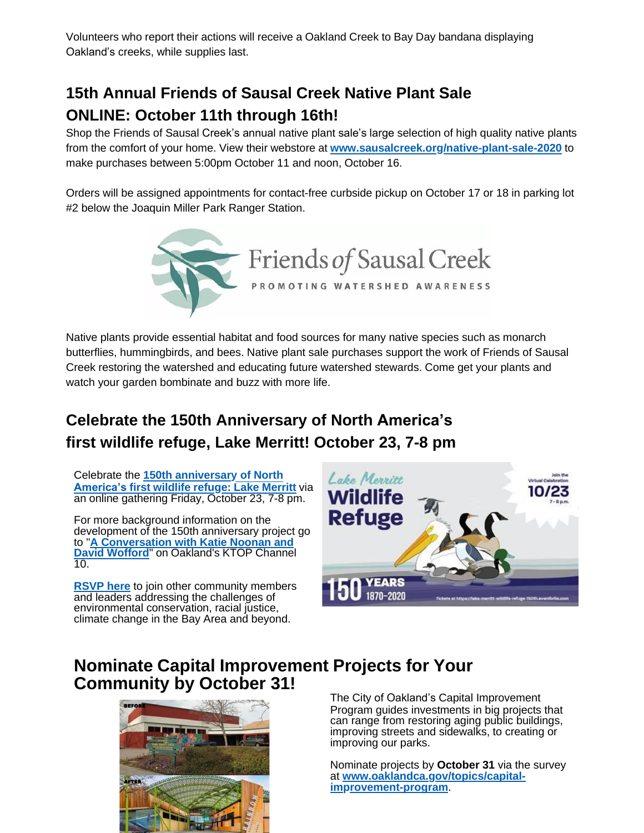Volunteers who report their actions will receive a Oakland Creek to Bay Day bandana displaying Oakland's creeks, while supplies last.

### **15th Annual Friends of Sausal Creek Native Plant Sale ONLINE: October 11th through 16th!**

Shop the Friends of Sausal Creek's annual native plant sale's large selection of high quality native plants from the comfort of your home. View their webstore at **[www.sausalcreek.org/native-plant-sale-2020](https://oaklandca19202.lt.acemlna.com/Prod/link-tracker?notrack=1&redirectUrl=aHR0cHMlM0ElMkYlMkZ1cmxkZWZlbnNlLnByb29mcG9pbnQuY29tJTJGdjIlMkZ1cmwlM0Z1JTNEaHR0cHMtM0FfX3d3dy5zYXVzYWxjcmVlay5vcmdfbmF0aXZlLTJEcGxhbnQtMkRzYWxlLTJEMjAyMCUyNmQlM0REd01GYVElMjZjJTNENlpib0tkSnpSOG5aT3F3QmpoUG5DdyUyNnIlM0RyclNzaklpSC1yTVZqVldnSXQtdndTVFZEZUUtdnh2X3M2SVh6YmpPNmljJTI2bSUzRHlic2UzbUM0UHlzbGt6VkMtR0Z2c3F5U2xzRGNqWlRHVnl0T080cW5UdTglMjZzJTNELW91UW5lT3VNRmR6eUwxZVdiN1hDRnlZbzhXTEhyTkM1a1Fvd2k5SnpHVSUyNmUlM0Q%3D&sig=7SWViVctiivkPd1nRdnwkCaQNYA7zVtC51uoWLtzuzLw&iat=1632343875&a=799335011&account=oaklandca19202%2Eactivehosted%2Ecom&email=LRRV6glqIfcVPcYsJBrMHi%2FZD%2BmsUFpJrc5fHf6IoVE%3D&s=bad97c655476f96a390a72c05a742011&i=482A467A2A5828)** to make purchases between 5:00pm October 11 and noon, October 16.

Orders will be assigned appointments for contact-free curbside pickup on October 17 or 18 in parking lot #2 below the Joaquin Miller Park Ranger Station.



Native plants provide essential habitat and food sources for many native species such as monarch butterflies, hummingbirds, and bees. Native plant sale purchases support the work of Friends of Sausal Creek restoring the watershed and educating future watershed stewards. Come get your plants and watch your garden bombinate and buzz with more life.

# **Celebrate the 150th Anniversary of North America's first wildlife refuge, Lake Merritt! October 23, 7-8 pm**

Celebrate the **[150th anniversary of North](https://oaklandca19202.lt.acemlna.com/Prod/link-tracker?notrack=1&redirectUrl=aHR0cHMlM0ElMkYlMkZ3d3cueW91dHViZS5jb20lMkZ3YXRjaCUzRnYlM0RjOHNZc2NSRVd3cw%3D%3D&sig=3u2LS29tu1iAcJSgPFQ3KFz2hDzvu9K9uSm1hLQsmaR4&iat=1632343875&a=799335011&account=oaklandca19202%2Eactivehosted%2Ecom&email=LRRV6glqIfcVPcYsJBrMHi%2FZD%2BmsUFpJrc5fHf6IoVE%3D&s=bad97c655476f96a390a72c05a742011&i=482A467A2A5829) [America's](https://oaklandca19202.lt.acemlna.com/Prod/link-tracker?notrack=1&redirectUrl=aHR0cHMlM0ElMkYlMkZ3d3cueW91dHViZS5jb20lMkZ3YXRjaCUzRnYlM0RjOHNZc2NSRVd3cw%3D%3D&sig=3u2LS29tu1iAcJSgPFQ3KFz2hDzvu9K9uSm1hLQsmaR4&iat=1632343875&a=799335011&account=oaklandca19202%2Eactivehosted%2Ecom&email=LRRV6glqIfcVPcYsJBrMHi%2FZD%2BmsUFpJrc5fHf6IoVE%3D&s=bad97c655476f96a390a72c05a742011&i=482A467A2A5829) first wildlife refuge: Lake Merritt** via an online gathering Friday, October 23, 7-8 pm.

For more background information on the development of the 150th anniversary project go to "**[A Conversation with Katie Noonan and](https://oaklandca19202.lt.acemlna.com/Prod/link-tracker?notrack=1&redirectUrl=aHR0cHMlM0ElMkYlMkZ3d3cuZmFjZWJvb2suY29tJTJGa3RvcDEwdHYlMkZ2aWRlb3MlMkYxNjg4MDIyMTk4MDI3NzAwJTJG&sig=6DFp1DLTVrCdMcU1RAGkWDxhDDSrPufU3YmUxBERusUQ&iat=1632343875&a=799335011&account=oaklandca19202%2Eactivehosted%2Ecom&email=LRRV6glqIfcVPcYsJBrMHi%2FZD%2BmsUFpJrc5fHf6IoVE%3D&s=bad97c655476f96a390a72c05a742011&i=482A467A2A5830) David Wofford**" on [Oakland's](https://oaklandca19202.lt.acemlna.com/Prod/link-tracker?notrack=1&redirectUrl=aHR0cHMlM0ElMkYlMkZ3d3cuZmFjZWJvb2suY29tJTJGa3RvcDEwdHYlMkZ2aWRlb3MlMkYxNjg4MDIyMTk4MDI3NzAwJTJG&sig=6DFp1DLTVrCdMcU1RAGkWDxhDDSrPufU3YmUxBERusUQ&iat=1632343875&a=799335011&account=oaklandca19202%2Eactivehosted%2Ecom&email=LRRV6glqIfcVPcYsJBrMHi%2FZD%2BmsUFpJrc5fHf6IoVE%3D&s=bad97c655476f96a390a72c05a742011&i=482A467A2A5830) KTOP Channel 10.

**[RSVP here](https://oaklandca19202.lt.acemlna.com/Prod/link-tracker?notrack=1&redirectUrl=aHR0cHMlM0ElMkYlMkZ3d3cuZXZlbnRicml0ZS5jb20lMkZlJTJGMTUwdGgtYW5uaXZlcnNhcnktb2YtdGhlLWxha2UtbWVycml0dC13aWxkbGlmZS1yZWZ1Z2UtdmlydHVhbC1jZWxlYnJhdGlvbi10aWNrZXRzLTExOTkyNjIwOTUyMQ%3D%3D&sig=7QwgkE9urr1pzhAFkZaknh1UMswPqhBdfwRBuonWuimT&iat=1632343875&a=799335011&account=oaklandca19202%2Eactivehosted%2Ecom&email=LRRV6glqIfcVPcYsJBrMHi%2FZD%2BmsUFpJrc5fHf6IoVE%3D&s=bad97c655476f96a390a72c05a742011&i=482A467A2A5831)** to join other community members and leaders addressing the challenges of environmental conservation, racial justice, climate change in the Bay Area and beyond.



#### **Nominate Capital Improvement Projects for Your Community by October 31!**



The City of Oakland's Capital Improvement Program guides investments in big projects that can range from restoring aging public buildings, improving streets and sidewalks, to creating or improving our parks.

Nominate projects by **October 31** via the survey at **[www.oaklandca.gov/topics/capital](https://oaklandca19202.lt.acemlna.com/Prod/link-tracker?notrack=1&redirectUrl=aHR0cCUzQSUyRiUyRnd3dy5vYWtsYW5kY2EuZ292JTJGdG9waWNzJTJGY2FwaXRhbC1pbXByb3ZlbWVudC1wcm9ncmFt&sig=4AxvSnge6HsDAxWS1DhyFZBXCEkVtBdWPn6xEU4mGnfo&iat=1632343875&a=799335011&account=oaklandca19202%2Eactivehosted%2Ecom&email=LRRV6glqIfcVPcYsJBrMHi%2FZD%2BmsUFpJrc5fHf6IoVE%3D&s=bad97c655476f96a390a72c05a742011&i=482A467A2A5832)[improvement-program](https://oaklandca19202.lt.acemlna.com/Prod/link-tracker?notrack=1&redirectUrl=aHR0cCUzQSUyRiUyRnd3dy5vYWtsYW5kY2EuZ292JTJGdG9waWNzJTJGY2FwaXRhbC1pbXByb3ZlbWVudC1wcm9ncmFt&sig=4AxvSnge6HsDAxWS1DhyFZBXCEkVtBdWPn6xEU4mGnfo&iat=1632343875&a=799335011&account=oaklandca19202%2Eactivehosted%2Ecom&email=LRRV6glqIfcVPcYsJBrMHi%2FZD%2BmsUFpJrc5fHf6IoVE%3D&s=bad97c655476f96a390a72c05a742011&i=482A467A2A5832)**.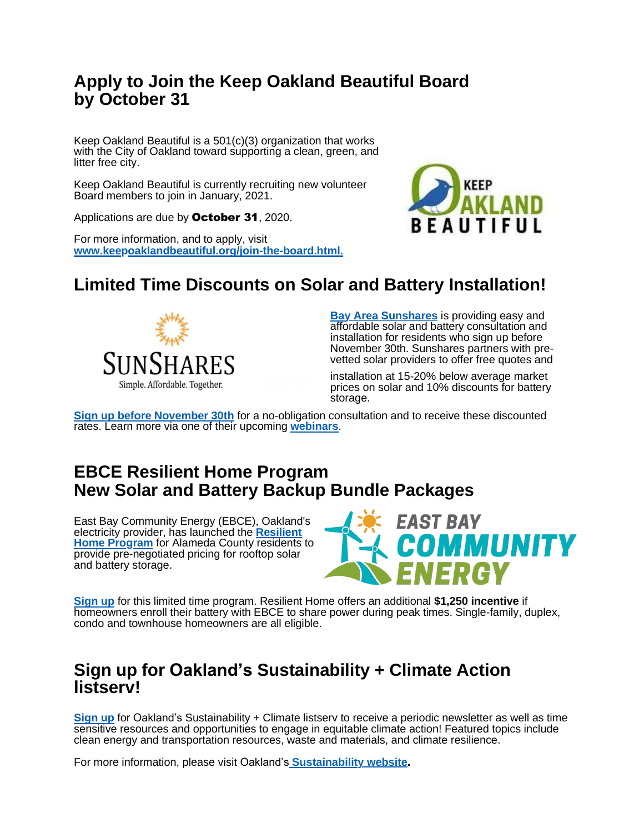#### **Apply to Join the Keep Oakland Beautiful Board by October 31**

Keep Oakland Beautiful is a 501(c)(3) organization that works with the City of Oakland toward supporting a clean, green, and litter free city.

Keep Oakland Beautiful is currently recruiting new volunteer Board members to join in January, 2021.

Applications are due by October 31, 2020.

For more information, and to apply, visit **[www.keepoaklandbeautiful.org/join-the-board.html.](https://oaklandca19202.lt.acemlna.com/Prod/link-tracker?notrack=1&redirectUrl=aHR0cHMlM0ElMkYlMkZ3d3cua2VlcG9ha2xhbmRiZWF1dGlmdWwub3JnJTJGam9pbi10aGUtYm9hcmQuaHRtbA%3D%3D&sig=5EcFogonX8DC2bwLMUjUqvZ3fAMQC4dbhGjHa2ac8J3E&iat=1632343875&a=799335011&account=oaklandca19202%2Eactivehosted%2Ecom&email=LRRV6glqIfcVPcYsJBrMHi%2FZD%2BmsUFpJrc5fHf6IoVE%3D&s=bad97c655476f96a390a72c05a742011&i=482A467A2A5822)**



### **Limited Time Discounts on Solar and Battery Installation!**



**[Bay Area Sunshares](https://oaklandca19202.lt.acemlna.com/Prod/link-tracker?notrack=1&redirectUrl=aHR0cHMlM0ElMkYlMkZ1cmxkZWZlbnNlLnByb29mcG9pbnQuY29tJTJGdjIlMkZ1cmwlM0Z1JTNEaHR0cHMtM0FfX29ha2xhbmRjYTE5MjAyLmx0LmFjZW1sbmEuY29tX1Byb2RfbGluay0yRHRyYWNrZXItM0Zub3RyYWNrLTNEMS0yNnJlZGlyZWN0VXJsLTNEYUhSMGNITWxNMEVsTWtZbE1rWjNkM2N1WW1GNVlYSmxZWE4xYm5Ob1lYSmxjeTV2Y21jbE1rWS0zRC0yNmEtM0Q3OTkzMzUwMTEtMjZhY2NvdW50LTNEb2FrbGFuZGNhMTkyMDItMjUyRWFjdGl2ZWhvc3RlZC0yNTJFY29tLTI2ZW1haWwtM0RZSXRVcmYtMjUyRnhFY2xVUk5RdGVRRmVnQ2R1RHQtMjUyRnVNVVFGZTQ3OGVVemIwOVEtMjUzRC0yNnMtM0Q0MjYyYTYyYmZlOTczOTdjZjY4ZTI1MGEwZDEwMDczMi0yNmktM0Q0NTJBNDM3QTBBNTI1NCUyNmQlM0REd01GYVElMjZjJTNENlpib0tkSnpSOG5aT3F3QmpoUG5DdyUyNnIlM0RjRzVtbVlDTThFaThHdkJCTHJSU0dsVnNhOUQ0R3Y5Z3Rsb0pZakpOdzJ3JTI2bSUzRDBOWjMxQ3dzYjJOMV9RcUdpdEc1MkFKSi1vRzVveXFuVER0TlpyS0M1OHclMjZzJTNEUlYzbGFrQkEzQ2p5cUk1WS1CTnR2eVVkY1lLNUROcEZRQjk5Q0VKdXQyRSUyNmUlM0Q%3D&sig=8A1ooFiesnEq5apywj4tdq6E9Bgq3wh3VFZ9Mh3stBQT&iat=1632343875&a=799335011&account=oaklandca19202%2Eactivehosted%2Ecom&email=LRRV6glqIfcVPcYsJBrMHi%2FZD%2BmsUFpJrc5fHf6IoVE%3D&s=bad97c655476f96a390a72c05a742011&i=482A467A2A5833)** is providing easy and affordable solar and battery consultation and installation for residents who sign up before November 30th. Sunshares partners with prevetted solar providers to offer free quotes and

installation at 15-20% below average market prices on solar and 10% discounts for battery storage.

**[Sign up before November 30th](https://oaklandca19202.lt.acemlna.com/Prod/link-tracker?notrack=1&redirectUrl=aHR0cHMlM0ElMkYlMkZ1cmxkZWZlbnNlLnByb29mcG9pbnQuY29tJTJGdjIlMkZ1cmwlM0Z1JTNEaHR0cHMtM0FfX29ha2xhbmRjYTE5MjAyLmx0LmFjZW1sbmEuY29tX1Byb2RfbGluay0yRHRyYWNrZXItM0Zub3RyYWNrLTNEMS0yNnJlZGlyZWN0VXJsLTNEYUhSMGNITWxNMEVsTWtZbE1rWjNkM2N1WW1GNVlYSmxZWE4xYm5Ob1lYSmxjeTV2Y21jbE1rWS0zRC0yNmEtM0Q3OTkzMzUwMTEtMjZhY2NvdW50LTNEb2FrbGFuZGNhMTkyMDItMjUyRWFjdGl2ZWhvc3RlZC0yNTJFY29tLTI2ZW1haWwtM0RZSXRVcmYtMjUyRnhFY2xVUk5RdGVRRmVnQ2R1RHQtMjUyRnVNVVFGZTQ3OGVVemIwOVEtMjUzRC0yNnMtM0Q0MjYyYTYyYmZlOTczOTdjZjY4ZTI1MGEwZDEwMDczMi0yNmktM0Q0NTJBNDM3QTBBNTI1NCUyNmQlM0REd01GYVElMjZjJTNENlpib0tkSnpSOG5aT3F3QmpoUG5DdyUyNnIlM0RjRzVtbVlDTThFaThHdkJCTHJSU0dsVnNhOUQ0R3Y5Z3Rsb0pZakpOdzJ3JTI2bSUzRDBOWjMxQ3dzYjJOMV9RcUdpdEc1MkFKSi1vRzVveXFuVER0TlpyS0M1OHclMjZzJTNEUlYzbGFrQkEzQ2p5cUk1WS1CTnR2eVVkY1lLNUROcEZRQjk5Q0VKdXQyRSUyNmUlM0Q%3D&sig=8A1ooFiesnEq5apywj4tdq6E9Bgq3wh3VFZ9Mh3stBQT&iat=1632343875&a=799335011&account=oaklandca19202%2Eactivehosted%2Ecom&email=LRRV6glqIfcVPcYsJBrMHi%2FZD%2BmsUFpJrc5fHf6IoVE%3D&s=bad97c655476f96a390a72c05a742011&i=482A467A2A5833)** for a no-obligation consultation and to receive these discounted rates. Learn more via one of their upcoming **[webinars](https://oaklandca19202.lt.acemlna.com/Prod/link-tracker?notrack=1&redirectUrl=aHR0cHMlM0ElMkYlMkZ1cmxkZWZlbnNlLnByb29mcG9pbnQuY29tJTJGdjIlMkZ1cmwlM0Z1JTNEaHR0cHMtM0FfX29ha2xhbmRjYTE5MjAyLmx0LmFjZW1sbmEuY29tX1Byb2RfbGluay0yRHRyYWNrZXItM0Zub3RyYWNrLTNEMS0yNnJlZGlyZWN0VXJsLTNEYUhSMGNITWxNMEVsTWtZbE1rWjNkM2N1WlhabGJuUmljbWwwWlM1amIyMGxNa1psSlRKR2MzVnVjMmhoY21WekxYZGxZbWx1WVhJdGRHbGphMlYwY3kweE1UZzJOVGMxTXpRNE9ERS0zRC0yNmEtM0Q3OTkzMzUwMTEtMjZhY2NvdW50LTNEb2FrbGFuZGNhMTkyMDItMjUyRWFjdGl2ZWhvc3RlZC0yNTJFY29tLTI2ZW1haWwtM0RZSXRVcmYtMjUyRnhFY2xVUk5RdGVRRmVnQ2R1RHQtMjUyRnVNVVFGZTQ3OGVVemIwOVEtMjUzRC0yNnMtM0Q0MjYyYTYyYmZlOTczOTdjZjY4ZTI1MGEwZDEwMDczMi0yNmktM0Q0NTJBNDM3QTBBNTI1NSUyNmQlM0REd01GYVElMjZjJTNENlpib0tkSnpSOG5aT3F3QmpoUG5DdyUyNnIlM0RjRzVtbVlDTThFaThHdkJCTHJSU0dsVnNhOUQ0R3Y5Z3Rsb0pZakpOdzJ3JTI2bSUzRDBOWjMxQ3dzYjJOMV9RcUdpdEc1MkFKSi1vRzVveXFuVER0TlpyS0M1OHclMjZzJTNEbzNGNzhSVjhIRVZ6bGU5VWJLY1BwV1Etc3pEbGpaNnFBMWVuTEJoMTZCTSUyNmUlM0Q%3D&sig=DGnXPUG1fhaYGRGVePgMgBsiFTQnP4FXc3SAPetxtziy&iat=1632343875&a=799335011&account=oaklandca19202%2Eactivehosted%2Ecom&email=LRRV6glqIfcVPcYsJBrMHi%2FZD%2BmsUFpJrc5fHf6IoVE%3D&s=bad97c655476f96a390a72c05a742011&i=482A467A2A5834)**.

#### **EBCE Resilient Home Program New Solar and Battery Backup Bundle Packages**

East Bay Community Energy (EBCE), Oakland's [electricity](https://oaklandca19202.lt.acemlna.com/Prod/link-tracker?notrack=1&redirectUrl=aHR0cHMlM0ElMkYlMkZ1cmxkZWZlbnNlLnByb29mcG9pbnQuY29tJTJGdjIlMkZ1cmwlM0Z1JTNEaHR0cHMtM0FfX29ha2xhbmRjYTE5MjAyLmx0LmFjZW1sbmEuY29tX1Byb2RfbGluay0yRHRyYWNrZXItM0Zub3RyYWNrLTNEMS0yNnJlZGlyZWN0VXJsLTNEYUhSMGNITWxNMEVsTWtZbE1rWmxZbU5sTG05eVp5VXlSbkpsYzJsc2FXVnVkQzFvYjIxbEpUSkctMjZhLTNENzk5MzM1MDExLTI2YWNjb3VudC0zRG9ha2xhbmRjYTE5MjAyLTI1MkVhY3RpdmVob3N0ZWQtMjUyRWNvbS0yNmVtYWlsLTNEWUl0VXJmLTI1MkZ4RWNsVVJOUXRlUUZlZ0NkdUR0LTI1MkZ1TVVRRmU0NzhlVXpiMDlRLTI1M0QtMjZzLTNENDI2MmE2MmJmZTk3Mzk3Y2Y2OGUyNTBhMGQxMDA3MzItMjZpLTNENDUyQTQzN0EwQTUyNTYlMjZkJTNERHdNRmFRJTI2YyUzRDZaYm9LZEp6UjhuWk9xd0JqaFBuQ3clMjZyJTNEY0c1bW1ZQ004RWk4R3ZCQkxyUlNHbFZzYTlENEd2OWd0bG9KWWpKTncydyUyNm0lM0QwTlozMUN3c2IyTjFfUXFHaXRHNTJBSkotb0c1b3lxblREdE5acktDNTh3JTI2cyUzREVzNGM3UFJTUjdOaTBzRTdtb2NXVW5RMnVWalg5Z0d4NnoyVnNjNjJWb2clMjZlJTNE&sig=2JbWhig6gKWAvMFH22t4YSQ1eJ9pGtEt7ZF52fzLi2Pn&iat=1632343875&a=799335011&account=oaklandca19202%2Eactivehosted%2Ecom&email=LRRV6glqIfcVPcYsJBrMHi%2FZD%2BmsUFpJrc5fHf6IoVE%3D&s=bad97c655476f96a390a72c05a742011&i=482A467A2A5835) provider, has launched the **Resilient Home Program** [for Alameda County residents](https://oaklandca19202.lt.acemlna.com/Prod/link-tracker?notrack=1&redirectUrl=aHR0cHMlM0ElMkYlMkZ1cmxkZWZlbnNlLnByb29mcG9pbnQuY29tJTJGdjIlMkZ1cmwlM0Z1JTNEaHR0cHMtM0FfX29ha2xhbmRjYTE5MjAyLmx0LmFjZW1sbmEuY29tX1Byb2RfbGluay0yRHRyYWNrZXItM0Zub3RyYWNrLTNEMS0yNnJlZGlyZWN0VXJsLTNEYUhSMGNITWxNMEVsTWtZbE1rWmxZbU5sTG05eVp5VXlSbkpsYzJsc2FXVnVkQzFvYjIxbEpUSkctMjZhLTNENzk5MzM1MDExLTI2YWNjb3VudC0zRG9ha2xhbmRjYTE5MjAyLTI1MkVhY3RpdmVob3N0ZWQtMjUyRWNvbS0yNmVtYWlsLTNEWUl0VXJmLTI1MkZ4RWNsVVJOUXRlUUZlZ0NkdUR0LTI1MkZ1TVVRRmU0NzhlVXpiMDlRLTI1M0QtMjZzLTNENDI2MmE2MmJmZTk3Mzk3Y2Y2OGUyNTBhMGQxMDA3MzItMjZpLTNENDUyQTQzN0EwQTUyNTYlMjZkJTNERHdNRmFRJTI2YyUzRDZaYm9LZEp6UjhuWk9xd0JqaFBuQ3clMjZyJTNEY0c1bW1ZQ004RWk4R3ZCQkxyUlNHbFZzYTlENEd2OWd0bG9KWWpKTncydyUyNm0lM0QwTlozMUN3c2IyTjFfUXFHaXRHNTJBSkotb0c1b3lxblREdE5acktDNTh3JTI2cyUzREVzNGM3UFJTUjdOaTBzRTdtb2NXVW5RMnVWalg5Z0d4NnoyVnNjNjJWb2clMjZlJTNE&sig=2JbWhig6gKWAvMFH22t4YSQ1eJ9pGtEt7ZF52fzLi2Pn&iat=1632343875&a=799335011&account=oaklandca19202%2Eactivehosted%2Ecom&email=LRRV6glqIfcVPcYsJBrMHi%2FZD%2BmsUFpJrc5fHf6IoVE%3D&s=bad97c655476f96a390a72c05a742011&i=482A467A2A5835) to provide pre-negotiated pricing for rooftop solar and battery storage.



**[Sign up](https://oaklandca19202.lt.acemlna.com/Prod/link-tracker?notrack=1&redirectUrl=aHR0cHMlM0ElMkYlMkZ1cmxkZWZlbnNlLnByb29mcG9pbnQuY29tJTJGdjIlMkZ1cmwlM0Z1JTNEaHR0cHMtM0FfX29ha2xhbmRjYTE5MjAyLmx0LmFjZW1sbmEuY29tX1Byb2RfbGluay0yRHRyYWNrZXItM0Zub3RyYWNrLTNEMS0yNnJlZGlyZWN0VXJsLTNEYUhSMGNITWxNMEVsTWtZbE1rWmxZbU5sTG05eVp5VXlSbkpsYzJsc2FXVnVkQzFvYjIxbEpUSkctMjZhLTNENzk5MzM1MDExLTI2YWNjb3VudC0zRG9ha2xhbmRjYTE5MjAyLTI1MkVhY3RpdmVob3N0ZWQtMjUyRWNvbS0yNmVtYWlsLTNEWUl0VXJmLTI1MkZ4RWNsVVJOUXRlUUZlZ0NkdUR0LTI1MkZ1TVVRRmU0NzhlVXpiMDlRLTI1M0QtMjZzLTNENDI2MmE2MmJmZTk3Mzk3Y2Y2OGUyNTBhMGQxMDA3MzItMjZpLTNENDUyQTQzN0EwQTUyNTYlMjZkJTNERHdNRmFRJTI2YyUzRDZaYm9LZEp6UjhuWk9xd0JqaFBuQ3clMjZyJTNEY0c1bW1ZQ004RWk4R3ZCQkxyUlNHbFZzYTlENEd2OWd0bG9KWWpKTncydyUyNm0lM0QwTlozMUN3c2IyTjFfUXFHaXRHNTJBSkotb0c1b3lxblREdE5acktDNTh3JTI2cyUzREVzNGM3UFJTUjdOaTBzRTdtb2NXVW5RMnVWalg5Z0d4NnoyVnNjNjJWb2clMjZlJTNE&sig=2JbWhig6gKWAvMFH22t4YSQ1eJ9pGtEt7ZF52fzLi2Pn&iat=1632343875&a=799335011&account=oaklandca19202%2Eactivehosted%2Ecom&email=LRRV6glqIfcVPcYsJBrMHi%2FZD%2BmsUFpJrc5fHf6IoVE%3D&s=bad97c655476f96a390a72c05a742011&i=482A467A2A5835)** for this limited time program. Resilient Home offers an additional **\$1,250 incentive** if homeowners enroll their battery with EBCE to share power during peak times. Single-family, duplex, condo and townhouse homeowners are all eligible.

#### **Sign up for Oakland's Sustainability + Climate Action listserv!**

**[Sign](https://oaklandca19202.lt.acemlna.com/Prod/link-tracker?notrack=1&redirectUrl=aHR0cHMlM0ElMkYlMkZ3d3cub2FrbGFuZGNhLmdvdiUyRnNlcnZpY2VzJTJGc2lnbi11cC1mb3Itc3VzdGFpbmFiaWxpdHktYW5kLWNsaW1hdGUtbmV3cw%3D%3D&sig=HEdxVk3X4ohvto6ZvUD1EnppDbre4uVEE1t3o5DHTnXF&iat=1632343875&a=799335011&account=oaklandca19202%2Eactivehosted%2Ecom&email=LRRV6glqIfcVPcYsJBrMHi%2FZD%2BmsUFpJrc5fHf6IoVE%3D&s=bad97c655476f96a390a72c05a742011&i=482A467A2A5836) up** for Oakland's Sustainability + Climate listserv to receive a periodic newsletter as well as time sensitive resources and opportunities to engage in equitable climate action! Featured topics include clean energy and transportation resources, waste and materials, and climate resilience.

For more information, please visit Oakland's **[Sustainability website.](https://oaklandca19202.lt.acemlna.com/Prod/link-tracker?notrack=1&redirectUrl=aHR0cHMlM0ElMkYlMkZ3d3cub2FrbGFuZGNhLmdvdiUyRnRvcGljcyUyRnN1c3RhaW5hYmxlLW9ha2xhbmQtMQ%3D%3D&sig=8YYKcrkDPt2opimqde8YZGLQEGURg8WHDated2Savryz&iat=1632343875&a=799335011&account=oaklandca19202%2Eactivehosted%2Ecom&email=LRRV6glqIfcVPcYsJBrMHi%2FZD%2BmsUFpJrc5fHf6IoVE%3D&s=bad97c655476f96a390a72c05a742011&i=482A467A2A5837)**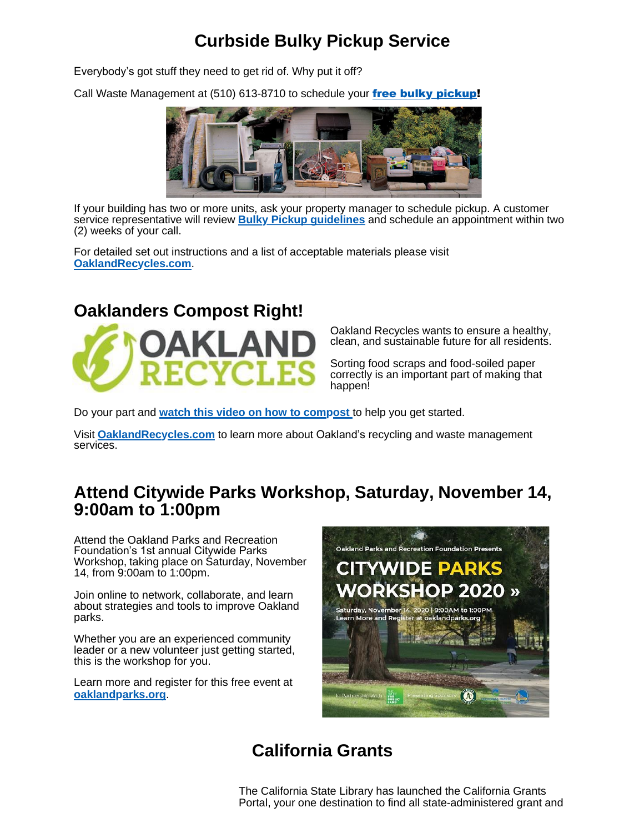# **Curbside Bulky Pickup Service**

Everybody's got stuff they need to get rid of. Why put it off?

Call Waste Management at (510) 613-8710 to schedule your free bulky [pickup!](https://oaklandca19202.lt.acemlna.com/Prod/link-tracker?notrack=1&redirectUrl=aHR0cHMlM0ElMkYlMkZ5b3V0dS5iZSUyRmI5SmU3V1VGbExF&sig=912za77T2WVpiXfXPTRjxiySxqeppj3pXDZgK3W5j7sb&iat=1632343875&a=799335011&account=oaklandca19202%2Eactivehosted%2Ecom&email=LRRV6glqIfcVPcYsJBrMHi%2FZD%2BmsUFpJrc5fHf6IoVE%3D&s=bad97c655476f96a390a72c05a742011&i=482A467A2A5818)



If your building has two or more units, ask your property manager to schedule pickup. A customer service representative will review **Bulky Pickup [guidelines](https://oaklandca19202.lt.acemlna.com/Prod/link-tracker?notrack=1&redirectUrl=aHR0cHMlM0ElMkYlMkZ3d3cub2FrbGFuZHJlY3ljbGVzLmNvbSUyRmJ1bGt5LXBpY2t1cC1zZXJ2aWNlcyUyRg%3D%3D&sig=6fKsbxgNWacvZKNPMCFHLVLtXhSZ1iVsBsSebTQfCycV&iat=1632343875&a=799335011&account=oaklandca19202%2Eactivehosted%2Ecom&email=LRRV6glqIfcVPcYsJBrMHi%2FZD%2BmsUFpJrc5fHf6IoVE%3D&s=bad97c655476f96a390a72c05a742011&i=482A467A2A5819)** and schedule an appointment within two (2) weeks of your call.

For detailed set out instructions and a list of acceptable materials please visit **[OaklandRecycles.com](https://oaklandca19202.lt.acemlna.com/Prod/link-tracker?notrack=1&redirectUrl=aHR0cHMlM0ElMkYlMkZ3d3cub2FrbGFuZHJlY3ljbGVzLmNvbSUyRmJ1bGt5LXBpY2t1cC1zZXJ2aWNlcyUyRg%3D%3D&sig=6fKsbxgNWacvZKNPMCFHLVLtXhSZ1iVsBsSebTQfCycV&iat=1632343875&a=799335011&account=oaklandca19202%2Eactivehosted%2Ecom&email=LRRV6glqIfcVPcYsJBrMHi%2FZD%2BmsUFpJrc5fHf6IoVE%3D&s=bad97c655476f96a390a72c05a742011&i=482A467A2A5819)**.

### **Oaklanders Compost Right!**



Oakland Recycles wants to ensure a healthy, clean, and sustainable future for all residents.

Sorting food scraps and food-soiled paper correctly is an important part of making that happen!

Do your part and **[watch this video on how to compost](https://oaklandca19202.lt.acemlna.com/Prod/link-tracker?notrack=1&redirectUrl=aHR0cHMlM0ElMkYlMkZ3d3cueW91dHViZS5jb20lMkZ3YXRjaCUzRnYlM0REZ252YlB3NHY1TSUyNmZlYXR1cmUlM0R5b3V0dS5iZQ%3D%3D&sig=CTiEABqzEarQdRP4vrU8XBcHHKsiRcwBEMS89JWWfLt3&iat=1632343875&a=799335011&account=oaklandca19202%2Eactivehosted%2Ecom&email=LRRV6glqIfcVPcYsJBrMHi%2FZD%2BmsUFpJrc5fHf6IoVE%3D&s=bad97c655476f96a390a72c05a742011&i=482A467A2A5838)** to help you get started.

Visit **[OaklandRecycles.com](https://oaklandca19202.lt.acemlna.com/Prod/link-tracker?notrack=1&redirectUrl=aHR0cCUzQSUyRiUyRnd3dy5vYWtsYW5kcmVjeWNsZXMuY29tJTJG&sig=6hL4dujFZNo5gYzpvorN57RPC4whGRJmFbpVGprycqev&iat=1632343875&a=799335011&account=oaklandca19202%2Eactivehosted%2Ecom&email=LRRV6glqIfcVPcYsJBrMHi%2FZD%2BmsUFpJrc5fHf6IoVE%3D&s=bad97c655476f96a390a72c05a742011&i=482A467A2A5840)** to learn more about Oakland's recycling and waste management services.

### **Attend Citywide Parks Workshop, Saturday, November 14, 9:00am to 1:00pm**

Attend the Oakland Parks and Recreation Foundation's 1st annual Citywide Parks Workshop, taking place on Saturday, November 14, from 9:00am to 1:00pm.

Join online to network, collaborate, and learn about strategies and tools to improve Oakland parks.

Whether you are an experienced community leader or a new volunteer just getting started, this is the workshop for you.

Learn more and register for this free event at **[oaklandparks.org](https://oaklandca19202.lt.acemlna.com/Prod/link-tracker?notrack=1&redirectUrl=aHR0cHMlM0ElMkYlMkZ3d3cub2FrbGFuZHBhcmtzLm9yZyUyRjIwMjAtY2l0eXdpZGUtcGFya3Mtd29ya3Nob3AlMkY%3D&sig=GeSCUsPuHSDrvaTW39o6UD86MJUp52BXubhhniZw7JQn&iat=1632343875&a=799335011&account=oaklandca19202%2Eactivehosted%2Ecom&email=LRRV6glqIfcVPcYsJBrMHi%2FZD%2BmsUFpJrc5fHf6IoVE%3D&s=bad97c655476f96a390a72c05a742011&i=482A467A2A5839)**.



# **California Grants**

The California State Library has launched the California Grants Portal, your one destination to find all state-administered grant and